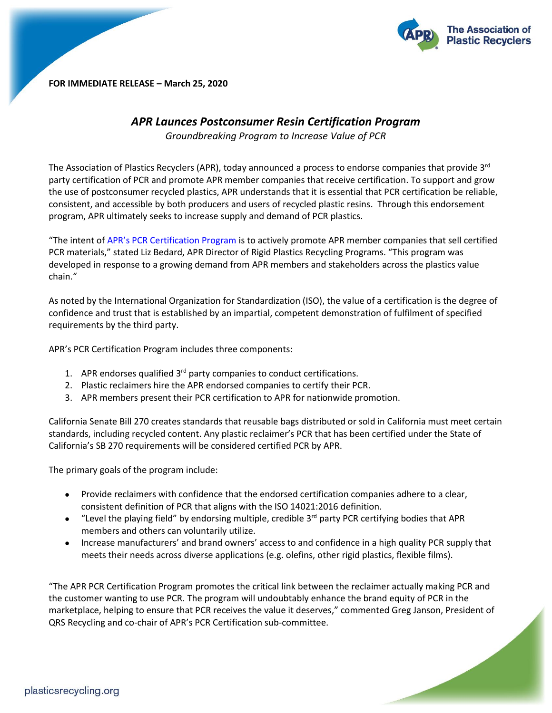

**FOR IMMEDIATE RELEASE – March 25, 2020**

## *APR Launces Postconsumer Resin Certification Program*

*Groundbreaking Program to Increase Value of PCR*

The Association of Plastics Recyclers (APR), today announced a process to endorse companies that provide 3<sup>rd</sup> party certification of PCR and promote APR member companies that receive certification. To support and grow the use of postconsumer recycled plastics, APR understands that it is essential that PCR certification be reliable, consistent, and accessible by both producers and users of recycled plastic resins. Through this endorsement program, APR ultimately seeks to increase supply and demand of PCR plastics.

"The intent of [APR's PCR Certification Program](https://plasticsrecycling.org/pcr-certification/overview-application) is to actively promote APR member companies that sell certified PCR materials," stated Liz Bedard, APR Director of Rigid Plastics Recycling Programs. "This program was developed in response to a growing demand from APR members and stakeholders across the plastics value chain."

As noted by the International Organization for Standardization (ISO), the value of a certification is the degree of confidence and trust that is established by an impartial, competent demonstration of fulfilment of specified requirements by the third party.

APR's PCR Certification Program includes three components:

- 1. APR endorses qualified 3<sup>rd</sup> party companies to conduct certifications.
- 2. Plastic reclaimers hire the APR endorsed companies to certify their PCR.
- 3. APR members present their PCR certification to APR for nationwide promotion.

California Senate Bill 270 creates standards that reusable bags distributed or sold in California must meet certain standards, including recycled content. Any plastic reclaimer's PCR that has been certified under the State of California's SB 270 requirements will be considered certified PCR by APR.

The primary goals of the program include:

- Provide reclaimers with confidence that the endorsed certification companies adhere to a clear, consistent definition of PCR that aligns with the ISO 14021:2016 definition.
- $\bullet$  "Level the playing field" by endorsing multiple, credible 3<sup>rd</sup> party PCR certifying bodies that APR members and others can voluntarily utilize.
- Increase manufacturers' and brand owners' access to and confidence in a high quality PCR supply that meets their needs across diverse applications (e.g. olefins, other rigid plastics, flexible films).

"The APR PCR Certification Program promotes the critical link between the reclaimer actually making PCR and the customer wanting to use PCR. The program will undoubtably enhance the brand equity of PCR in the marketplace, helping to ensure that PCR receives the value it deserves," commented Greg Janson, President of QRS Recycling and co-chair of APR's PCR Certification sub-committee.